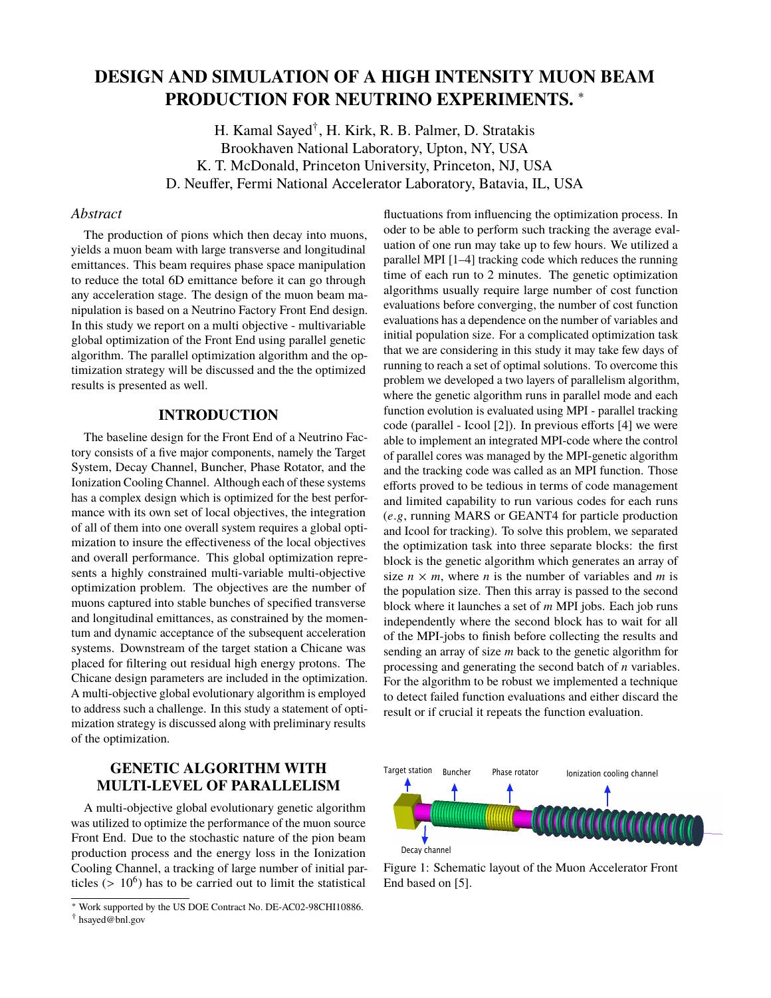# **DESIGN AND SIMULATION OF A HIGH INTENSITY MUON BEAM PRODUCTION FOR NEUTRINO EXPERIMENTS.** <sup>∗</sup>

H. Kamal Sayed† , H. Kirk, R. B. Palmer, D. Stratakis Brookhaven National Laboratory, Upton, NY, USA K. T. McDonald, Princeton University, Princeton, NJ, USA D. Neuffer, Fermi National Accelerator Laboratory, Batavia, IL, USA

#### *Abstract*

The production of pions which then decay into muons, yields a muon beam with large transverse and longitudinal emittances. This beam requires phase space manipulation to reduce the total 6D emittance before it can go through any acceleration stage. The design of the muon beam manipulation is based on a Neutrino Factory Front End design. In this study we report on a multi objective - multivariable global optimization of the Front End using parallel genetic algorithm. The parallel optimization algorithm and the optimization strategy will be discussed and the the optimized results is presented as well.

### **INTRODUCTION**

The baseline design for the Front End of a Neutrino Factory consists of a five major components, namely the Target System, Decay Channel, Buncher, Phase Rotator, and the Ionization Cooling Channel. Although each of these systems has a complex design which is optimized for the best performance with its own set of local objectives, the integration of all of them into one overall system requires a global optimization to insure the effectiveness of the local objectives and overall performance. This global optimization represents a highly constrained multi-variable multi-objective optimization problem. The objectives are the number of muons captured into stable bunches of specified transverse and longitudinal emittances, as constrained by the momentum and dynamic acceptance of the subsequent acceleration systems. Downstream of the target station a Chicane was placed for filtering out residual high energy protons. The Chicane design parameters are included in the optimization. A multi-objective global evolutionary algorithm is employed to address such a challenge. In this study a statement of optimization strategy is discussed along with preliminary results of the optimization.

# **GENETIC ALGORITHM WITH MULTI-LEVEL OF PARALLELISM**

A multi-objective global evolutionary genetic algorithm was utilized to optimize the performance of the muon source Front End. Due to the stochastic nature of the pion beam production process and the energy loss in the Ionization Cooling Channel, a tracking of large number of initial particles  $(> 10<sup>6</sup>)$  has to be carried out to limit the statistical

fluctuations from influencing the optimization process. In oder to be able to perform such tracking the average evaluation of one run may take up to few hours. We utilized a parallel MPI [1–4] tracking code which reduces the running time of each run to 2 minutes. The genetic optimization algorithms usually require large number of cost function evaluations before converging, the number of cost function evaluations has a dependence on the number of variables and initial population size. For a complicated optimization task that we are considering in this study it may take few days of running to reach a set of optimal solutions. To overcome this problem we developed a two layers of parallelism algorithm, where the genetic algorithm runs in parallel mode and each function evolution is evaluated using MPI - parallel tracking code (parallel - Icool [2]). In previous efforts [4] we were able to implement an integrated MPI-code where the control of parallel cores was managed by the MPI-genetic algorithm and the tracking code was called as an MPI function. Those efforts proved to be tedious in terms of code management and limited capability to run various codes for each runs (*e*.g, running MARS or GEANT4 for particle production and Icool for tracking). To solve this problem, we separated the optimization task into three separate blocks: the first block is the genetic algorithm which generates an array of size  $n \times m$ , where *n* is the number of variables and *m* is the population size. Then this array is passed to the second block where it launches a set of *m* MPI jobs. Each job runs independently where the second block has to wait for all of the MPI-jobs to finish before collecting the results and sending an array of size *m* back to the genetic algorithm for processing and generating the second batch of *n* variables. For the algorithm to be robust we implemented a technique to detect failed function evaluations and either discard the result or if crucial it repeats the function evaluation.



Figure 1: Schematic layout of the Muon Accelerator Front End based on [5].

<sup>∗</sup> Work supported by the US DOE Contract No. DE-AC02-98CHI10886.

<sup>†</sup> hsayed@bnl.gov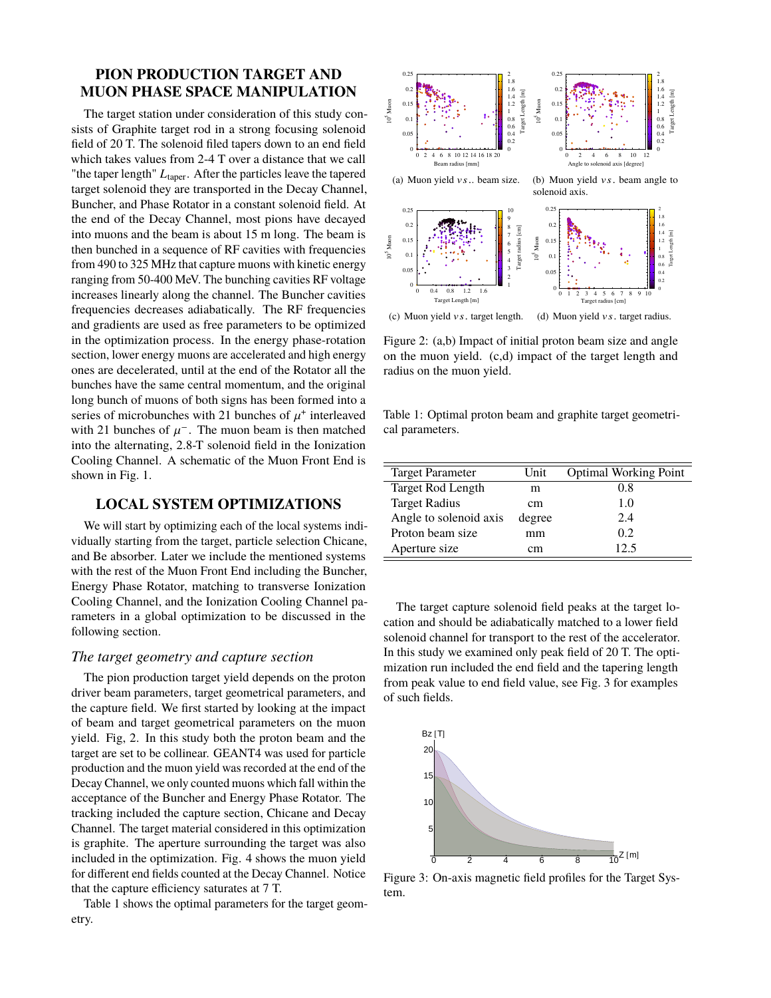## **PION PRODUCTION TARGET AND MUON PHASE SPACE MANIPULATION**

The target station under consideration of this study consists of Graphite target rod in a strong focusing solenoid field of 20 T. The solenoid filed tapers down to an end field which takes values from 2-4 T over a distance that we call "the taper length" *L*taper. After the particles leave the tapered target solenoid they are transported in the Decay Channel, Buncher, and Phase Rotator in a constant solenoid field. At the end of the Decay Channel, most pions have decayed into muons and the beam is about 15 m long. The beam is then bunched in a sequence of RF cavities with frequencies from 490 to 325 MHz that capture muons with kinetic energy ranging from 50-400 MeV. The bunching cavities RF voltage increases linearly along the channel. The Buncher cavities frequencies decreases adiabatically. The RF frequencies and gradients are used as free parameters to be optimized in the optimization process. In the energy phase-rotation section, lower energy muons are accelerated and high energy ones are decelerated, until at the end of the Rotator all the bunches have the same central momentum, and the original long bunch of muons of both signs has been formed into a series of microbunches with 21 bunches of  $\mu^+$  interleaved<br>with 21 bunches of  $\mu^-$ . The muon beam is then matched with 21 bunches of  $\mu^-$ . The muon beam is then matched<br>into the alternating 2.8-T solenoid field in the Ionization into the alternating, 2.8-T solenoid field in the Ionization Cooling Channel. A schematic of the Muon Front End is shown in Fig. 1.

#### **LOCAL SYSTEM OPTIMIZATIONS**

We will start by optimizing each of the local systems individually starting from the target, particle selection Chicane, and Be absorber. Later we include the mentioned systems with the rest of the Muon Front End including the Buncher, Energy Phase Rotator, matching to transverse Ionization Cooling Channel, and the Ionization Cooling Channel parameters in a global optimization to be discussed in the following section.

#### *The target geometry and capture section*

The pion production target yield depends on the proton driver beam parameters, target geometrical parameters, and the capture field. We first started by looking at the impact of beam and target geometrical parameters on the muon yield. Fig, 2. In this study both the proton beam and the target are set to be collinear. GEANT4 was used for particle production and the muon yield was recorded at the end of the Decay Channel, we only counted muons which fall within the acceptance of the Buncher and Energy Phase Rotator. The tracking included the capture section, Chicane and Decay Channel. The target material considered in this optimization is graphite. The aperture surrounding the target was also included in the optimization. Fig. 4 shows the muon yield for different end fields counted at the Decay Channel. Notice that the capture efficiency saturates at 7 T.

Table 1 shows the optimal parameters for the target geometry.



(c) Muon yield  $vs.$  target length. (d) Muon yield  $vs.$  target radius.

Figure 2: (a,b) Impact of initial proton beam size and angle on the muon yield. (c,d) impact of the target length and radius on the muon yield.

Table 1: Optimal proton beam and graphite target geometrical parameters.

| <b>Target Parameter</b> | Unit   | <b>Optimal Working Point</b> |
|-------------------------|--------|------------------------------|
| Target Rod Length       | m      | 0.8                          |
| <b>Target Radius</b>    | cm.    | 1.0                          |
| Angle to solenoid axis  | degree | 2.4                          |
| Proton beam size        | mm     | 0.2                          |
| Aperture size           | сm     | 12.5                         |

The target capture solenoid field peaks at the target location and should be adiabatically matched to a lower field solenoid channel for transport to the rest of the accelerator. In this study we examined only peak field of 20 T. The optimization run included the end field and the tapering length from peak value to end field value, see Fig. 3 for examples of such fields.



Figure 3: On-axis magnetic field profiles for the Target System.